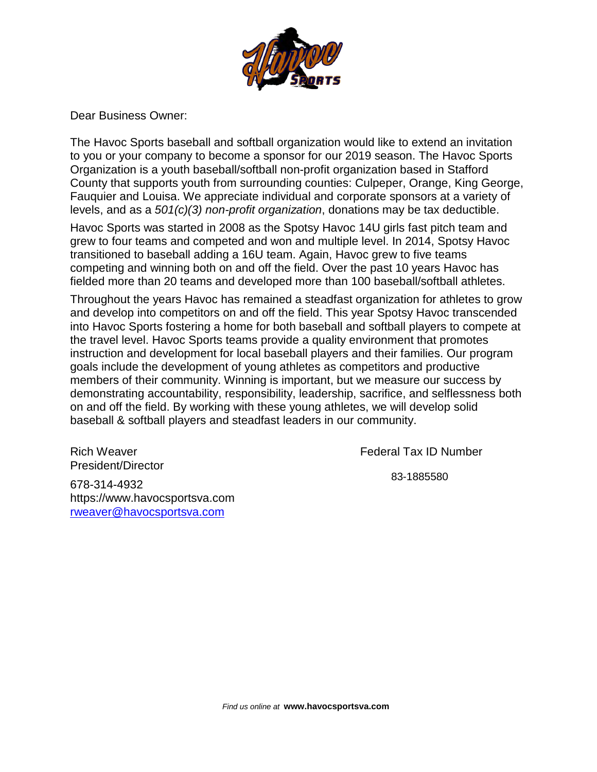

Dear Business Owner:

The Havoc Sports baseball and softball organization would like to extend an invitation to you or your company to become a sponsor for our 2019 season. The Havoc Sports Organization is a youth baseball/softball non-profit organization based in Stafford County that supports youth from surrounding counties: Culpeper, Orange, King George, Fauquier and Louisa. We appreciate individual and corporate sponsors at a variety of levels, and as a *501(c)(3) non-profit organization*, donations may be tax deductible.

Havoc Sports was started in 2008 as the Spotsy Havoc 14U girls fast pitch team and grew to four teams and competed and won and multiple level. In 2014, Spotsy Havoc transitioned to baseball adding a 16U team. Again, Havoc grew to five teams competing and winning both on and off the field. Over the past 10 years Havoc has fielded more than 20 teams and developed more than 100 baseball/softball athletes.

Throughout the years Havoc has remained a steadfast organization for athletes to grow and develop into competitors on and off the field. This year Spotsy Havoc transcended into Havoc Sports fostering a home for both baseball and softball players to compete at the travel level. Havoc Sports teams provide a quality environment that promotes instruction and development for local baseball players and their families. Our program goals include the development of young athletes as competitors and productive members of their community. Winning is important, but we measure our success by demonstrating accountability, responsibility, leadership, sacrifice, and selflessness both on and off the field. By working with these young athletes, we will develop solid baseball & softball players and steadfast leaders in our community.

Rich Weaver President/Director

678-314-4932 https://www.havocsportsva.com [rweaver@havocsportsva.com](mailto:rweaver@havocsportsva.com)

Federal Tax ID Number

83-1885580